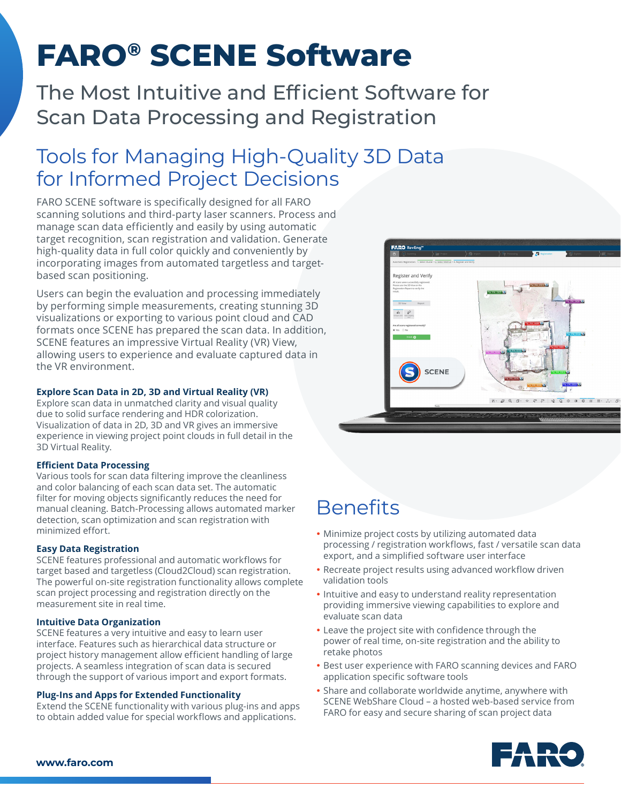# **FARO® SCENE Software**

The Most Intuitive and Efficient Software for Scan Data Processing and Registration

# Tools for Managing High-Quality 3D Data for Informed Project Decisions

FARO SCENE software is specifically designed for all FARO scanning solutions and third-party laser scanners. Process and manage scan data efficiently and easily by using automatic target recognition, scan registration and validation. Generate high-quality data in full color quickly and conveniently by incorporating images from automated targetless and targetbased scan positioning.

Users can begin the evaluation and processing immediately by performing simple measurements, creating stunning 3D visualizations or exporting to various point cloud and CAD formats once SCENE has prepared the scan data. In addition, SCENE features an impressive Virtual Reality (VR) View, allowing users to experience and evaluate captured data in the VR environment.

# **Explore Scan Data in 2D, 3D and Virtual Reality (VR)**

Explore scan data in unmatched clarity and visual quality due to solid surface rendering and HDR colorization. Visualization of data in 2D, 3D and VR gives an immersive experience in viewing project point clouds in full detail in the 3D Virtual Reality.

# **Efficient Data Processing**

Various tools for scan data filtering improve the cleanliness and color balancing of each scan data set. The automatic filter for moving objects significantly reduces the need for manual cleaning. Batch-Processing allows automated marker detection, scan optimization and scan registration with minimized effort.

# **Easy Data Registration**

SCENE features professional and automatic workflows for target based and targetless (Cloud2Cloud) scan registration. The powerful on-site registration functionality allows complete scan project processing and registration directly on the measurement site in real time.

# **Intuitive Data Organization**

SCENE features a very intuitive and easy to learn user interface. Features such as hierarchical data structure or project history management allow efficient handling of large projects. A seamless integration of scan data is secured through the support of various import and export formats.

# **Plug-Ins and Apps for Extended Functionality**

Extend the SCENE functionality with various plug-ins and apps to obtain added value for special workflows and applications.



# **Benefits**

- Minimize project costs by utilizing automated data processing / registration workflows, fast / versatile scan data export, and a simplified software user interface
- Recreate project results using advanced workflow driven validation tools
- Intuitive and easy to understand reality representation providing immersive viewing capabilities to explore and evaluate scan data
- Leave the project site with confidence through the power of real time, on-site registration and the ability to retake photos
- Best user experience with FARO scanning devices and FARO application specific software tools
- Share and collaborate worldwide anytime, anywhere with SCENE WebShare Cloud – a hosted web-based service from FARO for easy and secure sharing of scan project data



#### **www.faro.com**